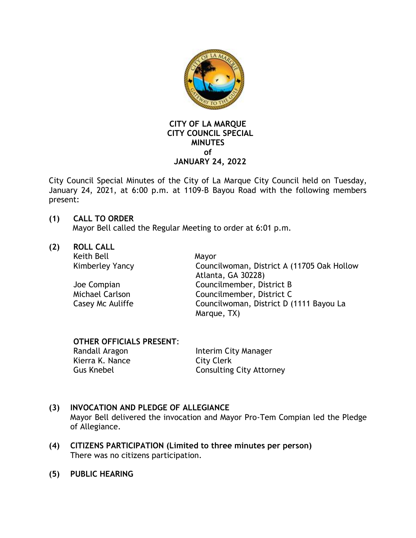

#### **CITY OF LA MARQUE CITY COUNCIL SPECIAL MINUTES of JANUARY 24, 2022**

City Council Special Minutes of the City of La Marque City Council held on Tuesday, January 24, 2021, at 6:00 p.m. at 1109-B Bayou Road with the following members present:

# **(1) CALL TO ORDER**

Mayor Bell called the Regular Meeting to order at 6:01 p.m.

**(2) ROLL CALL** 

Keith Bell Mayor

Kimberley Yancy Councilwoman, District A (11705 Oak Hollow Atlanta, GA 30228) Joe Compian Councilmember, District B Michael Carlson Councilmember, District C Casey Mc Auliffe Councilwoman, District D (1111 Bayou La Marque, TX)

# **OTHER OFFICIALS PRESENT**:

Randall Aragon **Interim City Manager** Kierra K. Nance City Clerk Gus Knebel Consulting City Attorney

# **(3) INVOCATION AND PLEDGE OF ALLEGIANCE**

Mayor Bell delivered the invocation and Mayor Pro-Tem Compian led the Pledge of Allegiance.

- **(4) CITIZENS PARTICIPATION (Limited to three minutes per person)** There was no citizens participation.
- **(5) PUBLIC HEARING**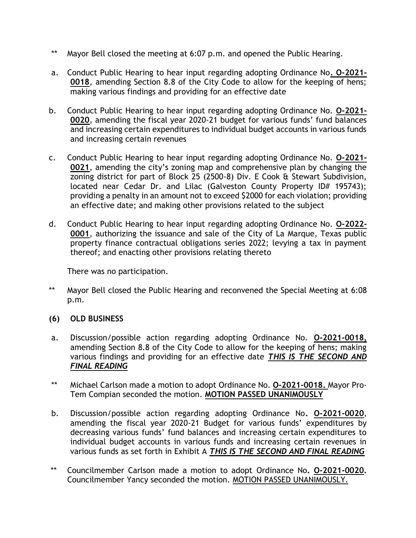- \*\* Mayor Bell closed the meeting at 6:07 p.m. and opened the Public Hearing.
- a. Conduct Public Hearing to hear input regarding adopting Ordinance No**. O-2021- 0018**, amending Section 8.8 of the City Code to allow for the keeping of hens; making various findings and providing for an effective date
- b. Conduct Public Hearing to hear input regarding adopting Ordinance No. **O-2021- 0020**, amending the fiscal year 2020-21 budget for various funds' fund balances and increasing certain expenditures to individual budget accounts in various funds and increasing certain revenues
- c. Conduct Public Hearing to hear input regarding adopting Ordinance No. **O-2021- 0021**, amending the city's zoning map and comprehensive plan by changing the zoning district for part of Block 25 (2500-8) Div. E Cook & Stewart Subdivision, located near Cedar Dr. and Lilac (Galveston County Property ID# 195743); providing a penalty in an amount not to exceed \$2000 for each violation; providing an effective date; and making other provisions related to the subject
- d. Conduct Public Hearing to hear input regarding adopting Ordinance No. **O-2022- 0001**, authorizing the issuance and sale of the City of La Marque, Texas public property finance contractual obligations series 2022; levying a tax in payment thereof; and enacting other provisions relating thereto

There was no participation.

- \*\* Mayor Bell closed the Public Hearing and reconvened the Special Meeting at 6:08 p.m.
- **(6) OLD BUSINESS**
- a. Discussion/possible action regarding adopting Ordinance No. **O-2021-0018,** amending Section 8.8 of the City Code to allow for the keeping of hens; making various findings and providing for an effective date *THIS IS THE SECOND AND FINAL READING*
- \*\* Michael Carlson made a motion to adopt Ordinance No. **O-2021-0018.** Mayor Pro-Tem Compian seconded the motion. **MOTION PASSED UNANIMOUSLY**
- b. Discussion/possible action regarding adopting Ordinance No**. O-2021-0020**, amending the fiscal year 2020-21 Budget for various funds' expenditures by decreasing various funds' fund balances and increasing certain expenditures to individual budget accounts in various funds and increasing certain revenues in various funds as set forth in Exhibit A *THIS IS THE SECOND AND FINAL READING*
- \*\* Councilmember Carlson made a motion to adopt Ordinance No**. O-2021-0020.** Councilmember Yancy seconded the motion. MOTION PASSED UNANIMOUSLY.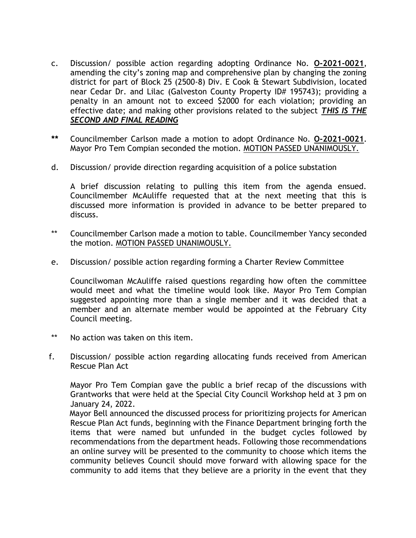- c. Discussion/ possible action regarding adopting Ordinance No. **O-2021-0021**, amending the city's zoning map and comprehensive plan by changing the zoning district for part of Block 25 (2500-8) Div. E Cook & Stewart Subdivision, located near Cedar Dr. and Lilac (Galveston County Property ID# 195743); providing a penalty in an amount not to exceed \$2000 for each violation; providing an effective date; and making other provisions related to the subject *THIS IS THE SECOND AND FINAL READING*
- **\*\*** Councilmember Carlson made a motion to adopt Ordinance No. **O-2021-0021**. Mayor Pro Tem Compian seconded the motion. MOTION PASSED UNANIMOUSLY.
- d. Discussion/ provide direction regarding acquisition of a police substation

A brief discussion relating to pulling this item from the agenda ensued. Councilmember McAuliffe requested that at the next meeting that this is discussed more information is provided in advance to be better prepared to discuss.

- \*\* Councilmember Carlson made a motion to table. Councilmember Yancy seconded the motion. MOTION PASSED UNANIMOUSLY.
- e. Discussion/ possible action regarding forming a Charter Review Committee

Councilwoman McAuliffe raised questions regarding how often the committee would meet and what the timeline would look like. Mayor Pro Tem Compian suggested appointing more than a single member and it was decided that a member and an alternate member would be appointed at the February City Council meeting.

- \*\* No action was taken on this item.
- f. Discussion/ possible action regarding allocating funds received from American Rescue Plan Act

Mayor Pro Tem Compian gave the public a brief recap of the discussions with Grantworks that were held at the Special City Council Workshop held at 3 pm on January 24, 2022.

Mayor Bell announced the discussed process for prioritizing projects for American Rescue Plan Act funds, beginning with the Finance Department bringing forth the items that were named but unfunded in the budget cycles followed by recommendations from the department heads. Following those recommendations an online survey will be presented to the community to choose which items the community believes Council should move forward with allowing space for the community to add items that they believe are a priority in the event that they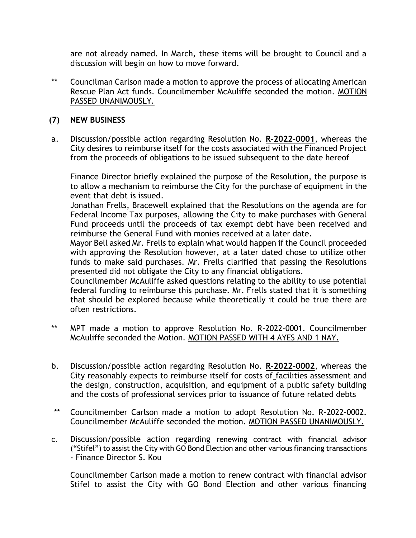are not already named. In March, these items will be brought to Council and a discussion will begin on how to move forward.

\*\* Councilman Carlson made a motion to approve the process of allocating American Rescue Plan Act funds. Councilmember McAuliffe seconded the motion. MOTION PASSED UNANIMOUSLY.

#### **(7) NEW BUSINESS**

a. Discussion/possible action regarding Resolution No. **R-2022-0001**, whereas the City desires to reimburse itself for the costs associated with the Financed Project from the proceeds of obligations to be issued subsequent to the date hereof

Finance Director briefly explained the purpose of the Resolution, the purpose is to allow a mechanism to reimburse the City for the purchase of equipment in the event that debt is issued.

Jonathan Frells, Bracewell explained that the Resolutions on the agenda are for Federal Income Tax purposes, allowing the City to make purchases with General Fund proceeds until the proceeds of tax exempt debt have been received and reimburse the General Fund with monies received at a later date.

Mayor Bell asked Mr. Frells to explain what would happen if the Council proceeded with approving the Resolution however, at a later dated chose to utilize other funds to make said purchases. Mr. Frells clarified that passing the Resolutions presented did not obligate the City to any financial obligations.

Councilmember McAuliffe asked questions relating to the ability to use potential federal funding to reimburse this purchase. Mr. Frells stated that it is something that should be explored because while theoretically it could be true there are often restrictions.

- \*\* MPT made a motion to approve Resolution No. R-2022-0001. Councilmember McAuliffe seconded the Motion. MOTION PASSED WITH 4 AYES AND 1 NAY.
- b. Discussion/possible action regarding Resolution No. **R-2022-0002**, whereas the City reasonably expects to reimburse itself for costs of facilities assessment and the design, construction, acquisition, and equipment of a public safety building and the costs of professional services prior to issuance of future related debts
- \*\* Councilmember Carlson made a motion to adopt Resolution No. R-2022-0002. Councilmember McAuliffe seconded the motion. MOTION PASSED UNANIMOUSLY.
- c. Discussion/possible action regarding renewing contract with financial advisor ("Stifel") to assist the City with GO Bond Election and other various financing transactions - Finance Director S. Kou

Councilmember Carlson made a motion to renew contract with financial advisor Stifel to assist the City with GO Bond Election and other various financing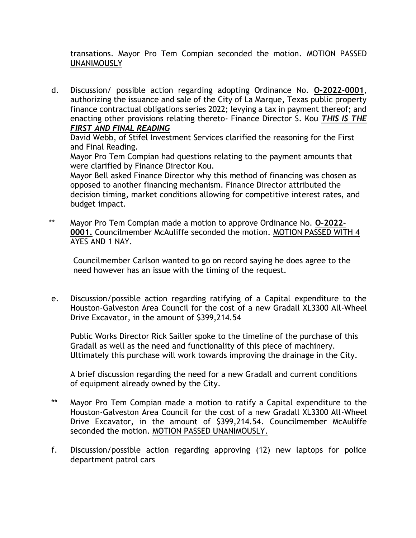transations. Mayor Pro Tem Compian seconded the motion. MOTION PASSED UNANIMOUSLY

d. Discussion/ possible action regarding adopting Ordinance No. **O-2022-0001**, authorizing the issuance and sale of the City of La Marque, Texas public property finance contractual obligations series 2022; levying a tax in payment thereof; and enacting other provisions relating thereto- Finance Director S. Kou *THIS IS THE FIRST AND FINAL READING*

David Webb, of Stifel Investment Services clarified the reasoning for the First and Final Reading.

Mayor Pro Tem Compian had questions relating to the payment amounts that were clarified by Finance Director Kou.

Mayor Bell asked Finance Director why this method of financing was chosen as opposed to another financing mechanism. Finance Director attributed the decision timing, market conditions allowing for competitive interest rates, and budget impact.

\*\* Mayor Pro Tem Compian made a motion to approve Ordinance No. **O-2022- 0001.** Councilmember McAuliffe seconded the motion. MOTION PASSED WITH 4 AYES AND 1 NAY.

Councilmember Carlson wanted to go on record saying he does agree to the need however has an issue with the timing of the request.

e. Discussion/possible action regarding ratifying of a Capital expenditure to the Houston-Galveston Area Council for the cost of a new Gradall XL3300 All-Wheel Drive Excavator, in the amount of \$399,214.54

Public Works Director Rick Sailler spoke to the timeline of the purchase of this Gradall as well as the need and functionality of this piece of machinery. Ultimately this purchase will work towards improving the drainage in the City.

A brief discussion regarding the need for a new Gradall and current conditions of equipment already owned by the City.

- \*\* Mayor Pro Tem Compian made a motion to ratify a Capital expenditure to the Houston-Galveston Area Council for the cost of a new Gradall XL3300 All-Wheel Drive Excavator, in the amount of \$399,214.54. Councilmember McAuliffe seconded the motion. MOTION PASSED UNANIMOUSLY.
- f. Discussion/possible action regarding approving (12) new laptops for police department patrol cars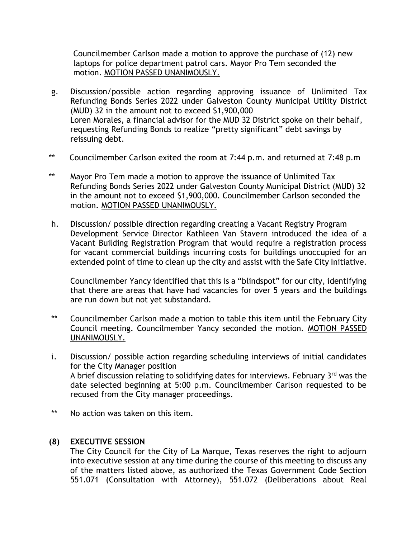Councilmember Carlson made a motion to approve the purchase of (12) new laptops for police department patrol cars. Mayor Pro Tem seconded the motion. MOTION PASSED UNANIMOUSLY.

- g. Discussion/possible action regarding approving issuance of Unlimited Tax Refunding Bonds Series 2022 under Galveston County Municipal Utility District (MUD) 32 in the amount not to exceed \$1,900,000 Loren Morales, a financial advisor for the MUD 32 District spoke on their behalf, requesting Refunding Bonds to realize "pretty significant" debt savings by reissuing debt.
- \*\* Councilmember Carlson exited the room at 7:44 p.m. and returned at 7:48 p.m
- \*\* Mayor Pro Tem made a motion to approve the issuance of Unlimited Tax Refunding Bonds Series 2022 under Galveston County Municipal District (MUD) 32 in the amount not to exceed \$1,900,000. Councilmember Carlson seconded the motion. MOTION PASSED UNANIMOUSLY.
- h. Discussion/ possible direction regarding creating a Vacant Registry Program Development Service Director Kathleen Van Stavern introduced the idea of a Vacant Building Registration Program that would require a registration process for vacant commercial buildings incurring costs for buildings unoccupied for an extended point of time to clean up the city and assist with the Safe City Initiative.

Councilmember Yancy identified that this is a "blindspot" for our city, identifying that there are areas that have had vacancies for over 5 years and the buildings are run down but not yet substandard.

- \*\* Councilmember Carlson made a motion to table this item until the February City Council meeting. Councilmember Yancy seconded the motion. MOTION PASSED UNANIMOUSLY.
- i. Discussion/ possible action regarding scheduling interviews of initial candidates for the City Manager position A brief discussion relating to solidifying dates for interviews. February  $3<sup>rd</sup>$  was the date selected beginning at 5:00 p.m. Councilmember Carlson requested to be recused from the City manager proceedings.
- \*\* No action was taken on this item.

### **(8) EXECUTIVE SESSION**

The City Council for the City of La Marque, Texas reserves the right to adjourn into executive session at any time during the course of this meeting to discuss any of the matters listed above, as authorized the Texas Government Code Section 551.071 (Consultation with Attorney), 551.072 (Deliberations about Real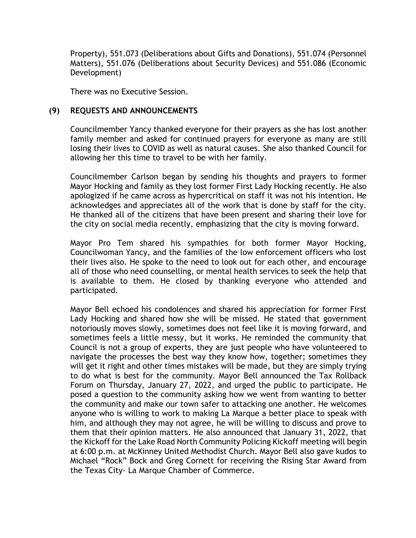Property), 551.073 (Deliberations about Gifts and Donations), 551.074 (Personnel Matters), 551.076 (Deliberations about Security Devices) and 551.086 (Economic Development)

There was no Executive Session.

#### **(9) REQUESTS AND ANNOUNCEMENTS**

Councilmember Yancy thanked everyone for their prayers as she has lost another family member and asked for continued prayers for everyone as many are still losing their lives to COVID as well as natural causes. She also thanked Council for allowing her this time to travel to be with her family.

Councilmember Carlson began by sending his thoughts and prayers to former Mayor Hocking and family as they lost former First Lady Hocking recently. He also apologized if he came across as hypercritical on staff it was not his intention. He acknowledges and appreciates all of the work that is done by staff for the city. He thanked all of the citizens that have been present and sharing their love for the city on social media recently, emphasizing that the city is moving forward.

Mayor Pro Tem shared his sympathies for both former Mayor Hocking, Councilwoman Yancy, and the families of the low enforcement officers who lost their lives also. He spoke to the need to look out for each other, and encourage all of those who need counselling, or mental health services to seek the help that is available to them. He closed by thanking everyone who attended and participated.

Mayor Bell echoed his condolences and shared his appreciation for former First Lady Hocking and shared how she will be missed. He stated that government notoriously moves slowly, sometimes does not feel like it is moving forward, and sometimes feels a little messy, but it works. He reminded the community that Council is not a group of experts, they are just people who have volunteered to navigate the processes the best way they know how, together; sometimes they will get it right and other times mistakes will be made, but they are simply trying to do what is best for the community. Mayor Bell announced the Tax Rollback Forum on Thursday, January 27, 2022, and urged the public to participate. He posed a question to the community asking how we went from wanting to better the community and make our town safer to attacking one another. He welcomes anyone who is willing to work to making La Marque a better place to speak with him, and although they may not agree, he will be willing to discuss and prove to them that their opinion matters. He also announced that January 31, 2022, that the Kickoff for the Lake Road North Community Policing Kickoff meeting will begin at 6:00 p.m. at McKinney United Methodist Church. Mayor Bell also gave kudos to Michael "Rock" Bock and Greg Cornett for receiving the Rising Star Award from the Texas City- La Marque Chamber of Commerce.